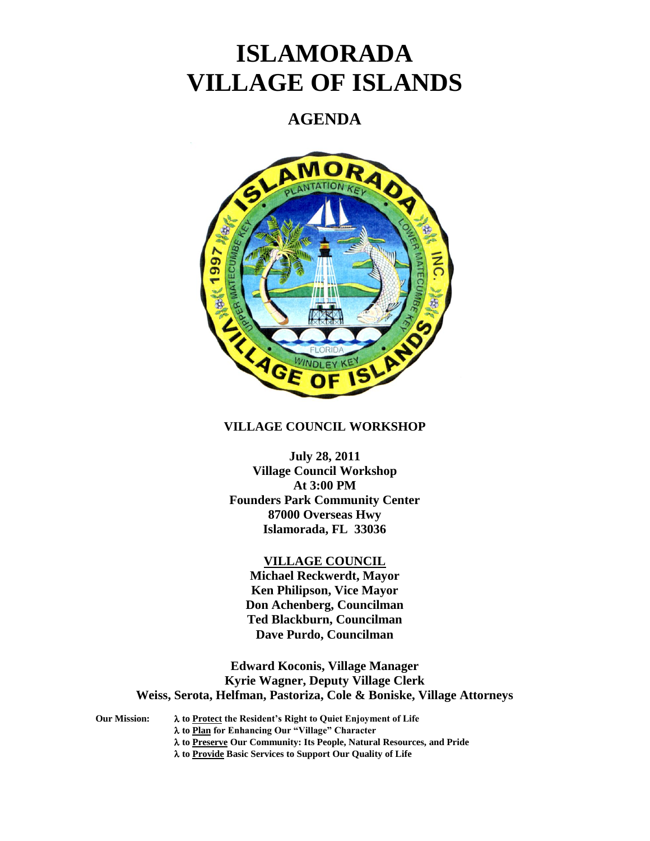# **ISLAMORADA VILLAGE OF ISLANDS**

# **AGENDA**



# **VILLAGE COUNCIL WORKSHOP**

**July 28, 2011 Village Council Workshop At 3:00 PM Founders Park Community Center 87000 Overseas Hwy Islamorada, FL 33036**

## **VILLAGE COUNCIL**

**Michael Reckwerdt, Mayor Ken Philipson, Vice Mayor Don Achenberg, Councilman Ted Blackburn, Councilman Dave Purdo, Councilman**

**Edward Koconis, Village Manager Kyrie Wagner, Deputy Village Clerk Weiss, Serota, Helfman, Pastoriza, Cole & Boniske, Village Attorneys**

**Our Mission: to Protect the Resident's Right to Quiet Enjoyment of Life to Plan for Enhancing Our "Village" Character to Preserve Our Community: Its People, Natural Resources, and Pride to Provide Basic Services to Support Our Quality of Life**